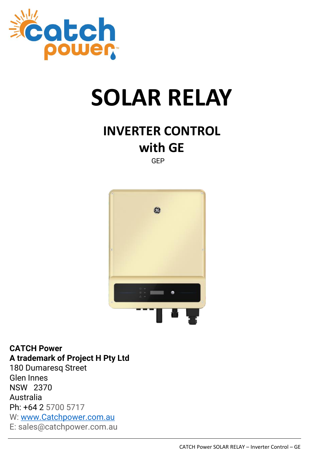

# **SOLAR RELAY**

## **INVERTER CONTROL with GE**

GEP



**CATCH Power A trademark of Project H Pty Ltd** 180 Dumaresq Street Glen Innes NSW 2370 Australia Ph: +64 2 5700 5717 W: [www.Catchpower.com.au](http://www.catchpower.com.au/) E: sales@catchpower.com.au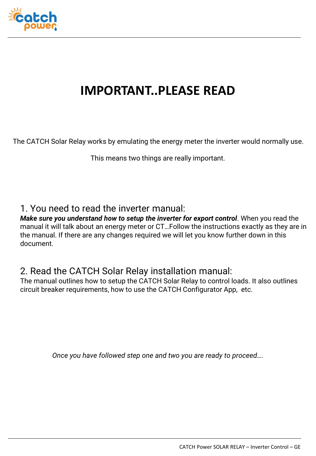

#### **IMPORTANT..PLEASE READ**

The CATCH Solar Relay works by emulating the energy meter the inverter would normally use.

This means two things are really important.

#### 1. You need to read the inverter manual:

*Make sure you understand how to setup the inverter for export control*. When you read the manual it will talk about an energy meter or CT…Follow the instructions exactly as they are in the manual. If there are any changes required we will let you know further down in this document.

#### 2. Read the CATCH Solar Relay installation manual:

The manual outlines how to setup the CATCH Solar Relay to control loads. It also outlines circuit breaker requirements, how to use the CATCH Configurator App, etc.

*Once you have followed step one and two you are ready to proceed….*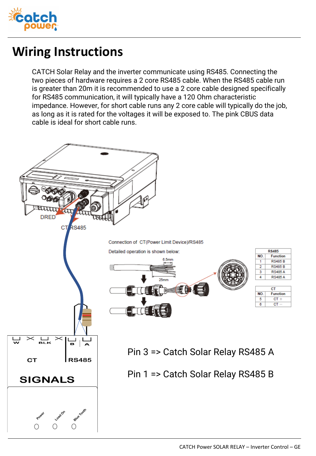

#### **Wiring Instructions**

CATCH Solar Relay and the inverter communicate using RS485. Connecting the two pieces of hardware requires a 2 core RS485 cable. When the RS485 cable run is greater than 20m it is recommended to use a 2 core cable designed specifically for RS485 communication, it will typically have a 120 Ohm characteristic impedance. However, for short cable runs any 2 core cable will typically do the job, as long as it is rated for the voltages it will be exposed to. The pink CBUS data cable is ideal for short cable runs.

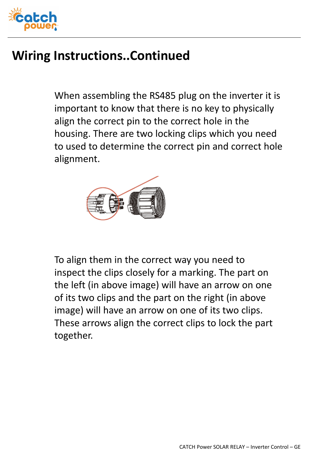

### **Wiring Instructions..Continued**

When assembling the RS485 plug on the inverter it is important to know that there is no key to physically align the correct pin to the correct hole in the housing. There are two locking clips which you need to used to determine the correct pin and correct hole alignment.



To align them in the correct way you need to inspect the clips closely for a marking. The part on the left (in above image) will have an arrow on one of its two clips and the part on the right (in above image) will have an arrow on one of its two clips. These arrows align the correct clips to lock the part together.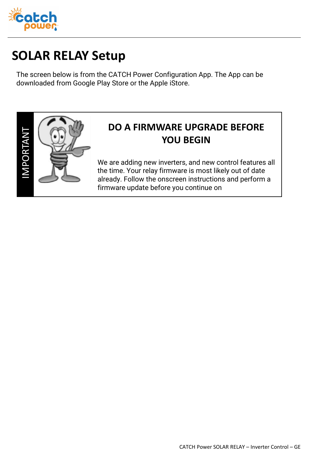

## **SOLAR RELAY Setup**

The screen below is from the CATCH Power Configuration App. The App can be downloaded from Google Play Store or the Apple iStore.



#### **DO A FIRMWARE UPGRADE BEFORE YOU BEGIN**

We are adding new inverters, and new control features all the time. Your relay firmware is most likely out of date already. Follow the onscreen instructions and perform a firmware update before you continue on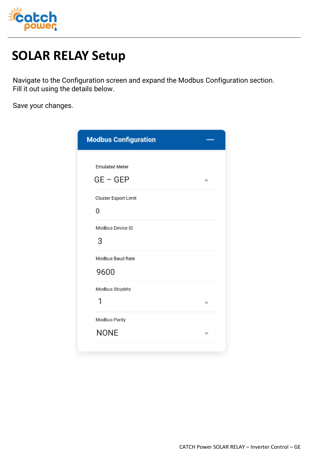

### **SOLAR RELAY Setup**

Navigate to the Configuration screen and expand the Modbus Configuration section. Fill it out using the details below.

Save your changes.

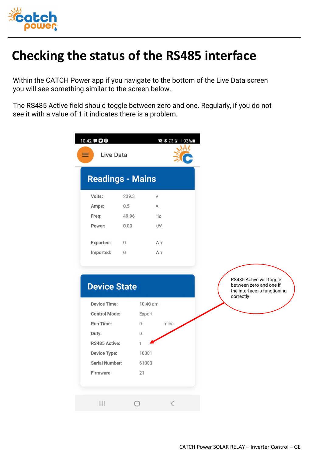

## **Checking the status of the RS485 interface**

Within the CATCH Power app if you navigate to the bottom of the Live Data screen you will see something similar to the screen below.

The RS485 Active field should toggle between zero and one. Regularly, if you do not see it with a value of 1 it indicates there is a problem.

| 10:42 700<br><b>Live Data</b> |              | <b>■ 多 溜 \$  93%■</b> |  |
|-------------------------------|--------------|-----------------------|--|
| <b>Readings - Mains</b>       |              |                       |  |
| Volts:                        | 239.3        | V                     |  |
| Amps:                         | 0.5          | A                     |  |
| Freq:                         | 49.96        | Hz                    |  |
| Power:                        | 0.00         | kW                    |  |
| <b>Exported:</b>              | $\mathbf{0}$ | Wh                    |  |
| Imported:                     | $\Omega$     | Wh                    |  |
|                               |              |                       |  |

RS485 Active will toggle **Device State** between zero and one if the interface is functioning correctly**Device Time:** 10:40 am **Control Mode:** Export Run Time:  $\boldsymbol{0}$ mins Duty:  $\,0\,$ RS485 Active: 1 **Device Type:** 10001 **Serial Number:** 61003 Firmware: 21  $\langle$  $III$  $\bigcirc$